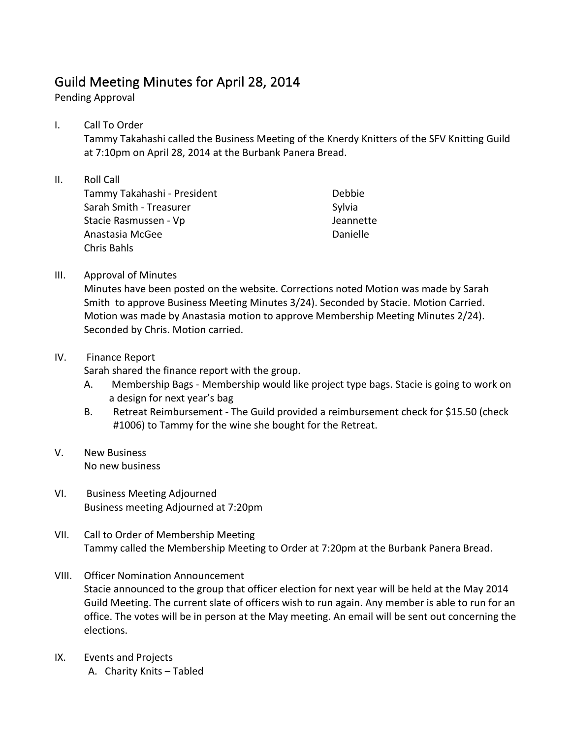## Guild Meeting Minutes for April 28, 2014

Pending Approval

I. Call To Order

Tammy Takahashi called the Business Meeting of the Knerdy Knitters of the SFV Knitting Guild at 7:10pm on April 28, 2014 at the Burbank Panera Bread.

- II. Roll Call Tammy Takahashi - President Sarah Smith - Treasurer Stacie Rasmussen - Vp Anastasia McGee Chris Bahls Debbie Sylvia Jeannette Danielle
- III. Approval of Minutes

Minutes have been posted on the website. Corrections noted Motion was made by Sarah Smith to approve Business Meeting Minutes 3/24). Seconded by Stacie. Motion Carried. Motion was made by Anastasia motion to approve Membership Meeting Minutes 2/24). Seconded by Chris. Motion carried.

## IV. Finance Report

Sarah shared the finance report with the group.

- A. Membership Bags Membership would like project type bags. Stacie is going to work on a design for next year's bag
- B. Retreat Reimbursement The Guild provided a reimbursement check for \$15.50 (check #1006) to Tammy for the wine she bought for the Retreat.
- V. New Business No new business
- VI. Business Meeting Adjourned Business meeting Adjourned at 7:20pm
- VII. Call to Order of Membership Meeting Tammy called the Membership Meeting to Order at 7:20pm at the Burbank Panera Bread.
- VIII. Officer Nomination Announcement Stacie announced to the group that officer election for next year will be held at the May 2014 Guild Meeting. The current slate of officers wish to run again. Any member is able to run for an office. The votes will be in person at the May meeting. An email will be sent out concerning the elections.
- IX. Events and Projects A. Charity Knits - Tabled